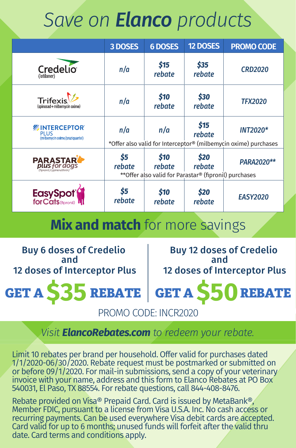## *Save on Elanco products*

|                                                                     | 3 DOSES       | <b>6 DOSES</b> | 12 DOSES                                                                 | <b>PROMO CODE</b>                                                                  |
|---------------------------------------------------------------------|---------------|----------------|--------------------------------------------------------------------------|------------------------------------------------------------------------------------|
| Credelio <sup>T</sup>                                               | n/a           | \$15<br>rebate | \$35<br>rebate                                                           | <b>CRD2020</b>                                                                     |
| Trifexis <sup>1</sup><br>(spinosad+milbemycin oxime)                | n/a           | \$10<br>rebate | \$30<br>rebate                                                           | <b>TFX2020</b>                                                                     |
| <b> MINTERCEPTOR</b><br><b>PLUS</b><br>(m)bemydnoxime/praziquantel) | n/a           | n/a            | \$15<br>rebate                                                           | <b>INT2020*</b><br>*Offer also valid for Interceptor® (milbemycin oxime) purchases |
| <b>PARASTAR</b>                                                     | \$5<br>rebate | \$10<br>rebate | \$20<br>rebate<br>** Offer also valid for Parastar® (fipronil) purchases | PARA2020**                                                                         |
| EasySpot <sup>®</sup>                                               | \$5<br>rebate | \$10<br>rebate | \$20<br>rebate                                                           | <b>EASY2020</b>                                                                    |

**Mix and match** for more savings

Buy 6 doses of Credelio and 12 doses of Interceptor Plus

Buy 12 doses of Credelio and 12 doses of Interceptor Plus

**GET A \$35 REBATE GET A \$50REBATE** PROMO CODE: INCR2020

## *Visit ElancoRebates.com to redeem your rebate.*

Limit 10 rebates per brand per household. Offer valid for purchases dated 1/1/2020-06/30/2020. Rebate request must be postmarked or submitted on or before 09/1/2020. For mail-in submissions, send a copy of your veterinary invoice with your name, address and this form to Elanco Rebates at PO Box 540031, El Paso, TX 88554. For rebate questions, call 844-408-8476.

Rebate provided on Visa® Prepaid Card. Card is issued by MetaBank®,<br>Member FDIC, pursuant to a license from Visa U.S.A. Inc. No cash access or recurring payments. Can be used everywhere Visa debit cards are accepted. Card valid for up to 6 months; unused funds will forfeit after the valid thru date. Card terms and conditions apply.